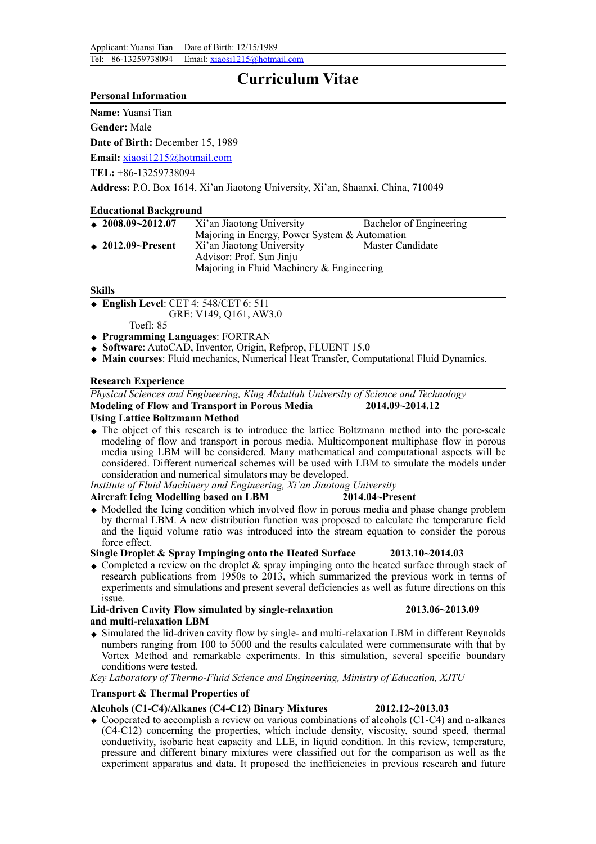# **Curriculum Vitae**

### **Personal Information**

**Name:** Yuansi Tian

**Gender:** Male

**Date of Birth:** December 15, 1989

**Email:** [xiaosi1215@hotmail.com](mailto:xiaosi1215@hotmail.com/) 

**TEL:** +86-13259738094

**Address:** P.O. Box 1614, Xi'an Jiaotong University, Xi'an, Shaanxi, China, 710049

# **Educational Background**

| $\triangle$ 2008.09~2012.07   | Xi'an Jiaotong University                     | Bachelor of Engineering |
|-------------------------------|-----------------------------------------------|-------------------------|
|                               | Majoring in Energy, Power System & Automation |                         |
| $\rightarrow$ 2012.09~Present | Xi'an Jiaotong University                     | Master Candidate        |
|                               | Advisor: Prof. Sun Jinju                      |                         |
|                               | Majoring in Fluid Machinery & Engineering     |                         |

#### **Skills**

◆ **English Level**: CET 4: 548/CET 6: 511

GRE: V149, Q161, AW3.0

Toefl: 85

- ◆ **Programming Languages**: FORTRAN
- ◆ **Software**: AutoCAD, Inventor, Origin, Refprop, FLUENT 15.0
- ◆ **Main courses**: Fluid mechanics, Numerical Heat Transfer, Computational Fluid Dynamics.

# **Research Experience**

*Physical Sciences and Engineering, King Abdullah University of Science and Technology* **Modeling of Flow and Transport in Porous Media 2014.09~2014.12 Using Lattice Boltzmann Method**

◆ The object of this research is to introduce the lattice Boltzmann method into the pore-scale modeling of flow and transport in porous media. Multicomponent multiphase flow in porous media using LBM will be considered. Many mathematical and computational aspects will be considered. Different numerical schemes will be used with LBM to simulate the models under consideration and numerical simulators may be developed.

*Institute of Fluid Machinery and Engineering, Xi'an Jiaotong University*

#### **Aircraft Icing Modelling based on LBM 2014.04~Present**

◆ Modelled the Icing condition which involved flow in porous media and phase change problem by thermal LBM. A new distribution function was proposed to calculate the temperature field and the liquid volume ratio was introduced into the stream equation to consider the porous force effect.

**Single Droplet & Spray Impinging onto the Heated Surface 2013.10~2014.03**

 $\triangle$  Completed a review on the droplet & spray impinging onto the heated surface through stack of research publications from 1950s to 2013, which summarized the previous work in terms of experiments and simulations and present several deficiencies as well as future directions on this issue.

**Lid-driven Cavity Flow simulated by single-relaxation 2013.06~2013.09 and multi-relaxation LBM**

◆ Simulated the lid-driven cavity flow by single- and multi-relaxation LBM in different Reynolds numbers ranging from 100 to 5000 and the results calculated were commensurate with that by Vortex Method and remarkable experiments. In this simulation, several specific boundary conditions were tested.

*Key Laboratory of Thermo-Fluid Science and Engineering, Ministry of Education, XJTU*

# **Transport & Thermal Properties of**

# **Alcohols (C1-C4)/Alkanes (C4-C12) Binary Mixtures 2012.12~2013.03**

 $\triangle$  Cooperated to accomplish a review on various combinations of alcohols (C1-C4) and n-alkanes (C4-C12) concerning the properties, which include density, viscosity, sound speed, thermal conductivity, isobaric heat capacity and LLE, in liquid condition. In this review, temperature, pressure and different binary mixtures were classified out for the comparison as well as the experiment apparatus and data. It proposed the inefficiencies in previous research and future